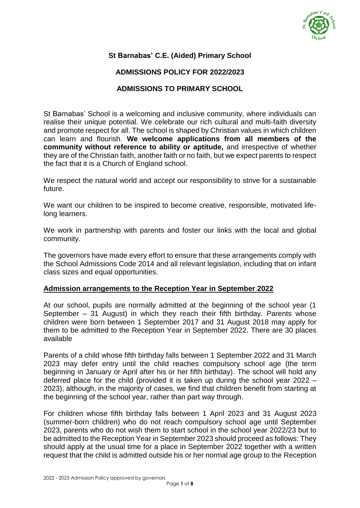

# **St Barnabas' C.E. (Aided) Primary School**

## **ADMISSIONS POLICY FOR 2022/2023**

### **ADMISSIONS TO PRIMARY SCHOOL**

St Barnabas' School is a welcoming and inclusive community, where individuals can realise their unique potential. We celebrate our rich cultural and multi-faith diversity and promote respect for all. The school is shaped by Christian values in which children can learn and flourish. **We welcome applications from all members of the community without reference to ability or aptitude,** and irrespective of whether they are of the Christian faith, another faith or no faith, but we expect parents to respect the fact that it is a Church of England school.

We respect the natural world and accept our responsibility to strive for a sustainable future.

We want our children to be inspired to become creative, responsible, motivated lifelong learners.

We work in partnership with parents and foster our links with the local and global community.

The governors have made every effort to ensure that these arrangements comply with the School Admissions Code 2014 and all relevant legislation, including that on infant class sizes and equal opportunities.

#### **Admission arrangements to the Reception Year in September 2022**

At our school, pupils are normally admitted at the beginning of the school year (1 September – 31 August) in which they reach their fifth birthday. Parents whose children were born between 1 September 2017 and 31 August 2018 may apply for them to be admitted to the Reception Year in September 2022. There are 30 places available

Parents of a child whose fifth birthday falls between 1 September 2022 and 31 March 2023 may defer entry until the child reaches compulsory school age (the term beginning in January or April after his or her fifth birthday). The school will hold any deferred place for the child (provided it is taken up during the school year 2022 – 2023), although, in the majority of cases, we find that children benefit from starting at the beginning of the school year, rather than part way through.

For children whose fifth birthday falls between 1 April 2023 and 31 August 2023 (summer-born children) who do not reach compulsory school age until September 2023, parents who do not wish them to start school in the school year 2022/23 but to be admitted to the Reception Year in September 2023 should proceed as follows: They should apply at the usual time for a place in September 2022 together with a written request that the child is admitted outside his or her normal age group to the Reception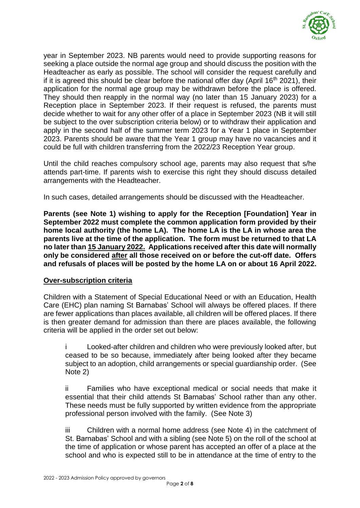

year in September 2023. NB parents would need to provide supporting reasons for seeking a place outside the normal age group and should discuss the position with the Headteacher as early as possible. The school will consider the request carefully and if it is agreed this should be clear before the national offer day (April  $16<sup>th</sup>$  2021), their application for the normal age group may be withdrawn before the place is offered. They should then reapply in the normal way (no later than 15 January 2023) for a Reception place in September 2023. If their request is refused, the parents must decide whether to wait for any other offer of a place in September 2023 (NB it will still be subject to the over subscription criteria below) or to withdraw their application and apply in the second half of the summer term 2023 for a Year 1 place in September 2023. Parents should be aware that the Year 1 group may have no vacancies and it could be full with children transferring from the 2022/23 Reception Year group.

Until the child reaches compulsory school age, parents may also request that s/he attends part-time. If parents wish to exercise this right they should discuss detailed arrangements with the Headteacher.

In such cases, detailed arrangements should be discussed with the Headteacher.

**Parents (see Note 1) wishing to apply for the Reception [Foundation] Year in September 2022 must complete the common application form provided by their home local authority (the home LA). The home LA is the LA in whose area the parents live at the time of the application. The form must be returned to that LA no later than 15 January 2022. Applications received after this date will normally only be considered after all those received on or before the cut-off date. Offers and refusals of places will be posted by the home LA on or about 16 April 2022.**

### **Over-subscription criteria**

Children with a Statement of Special Educational Need or with an Education, Health Care (EHC) plan naming St Barnabas' School will always be offered places. If there are fewer applications than places available, all children will be offered places. If there is then greater demand for admission than there are places available, the following criteria will be applied in the order set out below:

Looked-after children and children who were previously looked after, but ceased to be so because, immediately after being looked after they became subject to an adoption, child arrangements or special guardianship order. (See Note 2)

ii Families who have exceptional medical or social needs that make it essential that their child attends St Barnabas' School rather than any other. These needs must be fully supported by written evidence from the appropriate professional person involved with the family. (See Note 3)

iii Children with a normal home address (see Note 4) in the catchment of St. Barnabas' School and with a sibling (see Note 5) on the roll of the school at the time of application or whose parent has accepted an offer of a place at the school and who is expected still to be in attendance at the time of entry to the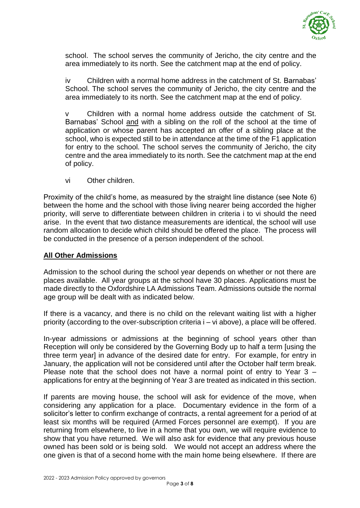

school. The school serves the community of Jericho, the city centre and the area immediately to its north. See the catchment map at the end of policy.

iv Children with a normal home address in the catchment of St. Barnabas' School. The school serves the community of Jericho, the city centre and the area immediately to its north. See the catchment map at the end of policy.

v Children with a normal home address outside the catchment of St. Barnabas' School and with a sibling on the roll of the school at the time of application or whose parent has accepted an offer of a sibling place at the school, who is expected still to be in attendance at the time of the F1 application for entry to the school. The school serves the community of Jericho, the city centre and the area immediately to its north. See the catchment map at the end of policy.

vi Other children.

Proximity of the child's home, as measured by the straight line distance (see Note 6) between the home and the school with those living nearer being accorded the higher priority, will serve to differentiate between children in criteria i to vi should the need arise. In the event that two distance measurements are identical, the school will use random allocation to decide which child should be offered the place. The process will be conducted in the presence of a person independent of the school.

### **All Other Admissions**

Admission to the school during the school year depends on whether or not there are places available. All year groups at the school have 30 places. Applications must be made directly to the Oxfordshire LA Admissions Team. Admissions outside the normal age group will be dealt with as indicated below.

If there is a vacancy, and there is no child on the relevant waiting list with a higher priority (according to the over-subscription criteria i – vi above), a place will be offered.

In-year admissions or admissions at the beginning of school years other than Reception will only be considered by the Governing Body up to half a term [using the three term year] in advance of the desired date for entry. For example, for entry in January, the application will not be considered until after the October half term break. Please note that the school does not have a normal point of entry to Year 3 – applications for entry at the beginning of Year 3 are treated as indicated in this section.

If parents are moving house, the school will ask for evidence of the move, when considering any application for a place. Documentary evidence in the form of a solicitor's letter to confirm exchange of contracts, a rental agreement for a period of at least six months will be required (Armed Forces personnel are exempt). If you are returning from elsewhere, to live in a home that you own, we will require evidence to show that you have returned. We will also ask for evidence that any previous house owned has been sold or is being sold. We would not accept an address where the one given is that of a second home with the main home being elsewhere. If there are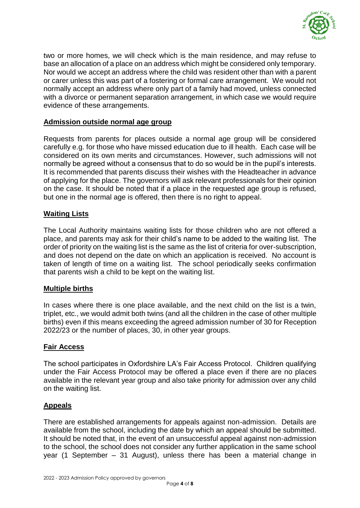

two or more homes, we will check which is the main residence, and may refuse to base an allocation of a place on an address which might be considered only temporary. Nor would we accept an address where the child was resident other than with a parent or carer unless this was part of a fostering or formal care arrangement. We would not normally accept an address where only part of a family had moved, unless connected with a divorce or permanent separation arrangement, in which case we would require evidence of these arrangements.

### **Admission outside normal age group**

Requests from parents for places outside a normal age group will be considered carefully e.g. for those who have missed education due to ill health. Each case will be considered on its own merits and circumstances. However, such admissions will not normally be agreed without a consensus that to do so would be in the pupil's interests. It is recommended that parents discuss their wishes with the Headteacher in advance of applying for the place. The governors will ask relevant professionals for their opinion on the case. It should be noted that if a place in the requested age group is refused, but one in the normal age is offered, then there is no right to appeal.

### **Waiting Lists**

The Local Authority maintains waiting lists for those children who are not offered a place, and parents may ask for their child's name to be added to the waiting list. The order of priority on the waiting list is the same as the list of criteria for over-subscription, and does not depend on the date on which an application is received. No account is taken of length of time on a waiting list. The school periodically seeks confirmation that parents wish a child to be kept on the waiting list.

### **Multiple births**

In cases where there is one place available, and the next child on the list is a twin, triplet, etc., we would admit both twins (and all the children in the case of other multiple births) even if this means exceeding the agreed admission number of 30 for Reception 2022/23 or the number of places, 30, in other year groups.

### **Fair Access**

The school participates in Oxfordshire LA's Fair Access Protocol. Children qualifying under the Fair Access Protocol may be offered a place even if there are no places available in the relevant year group and also take priority for admission over any child on the waiting list.

### **Appeals**

There are established arrangements for appeals against non-admission. Details are available from the school, including the date by which an appeal should be submitted. It should be noted that, in the event of an unsuccessful appeal against non-admission to the school, the school does not consider any further application in the same school year (1 September – 31 August), unless there has been a material change in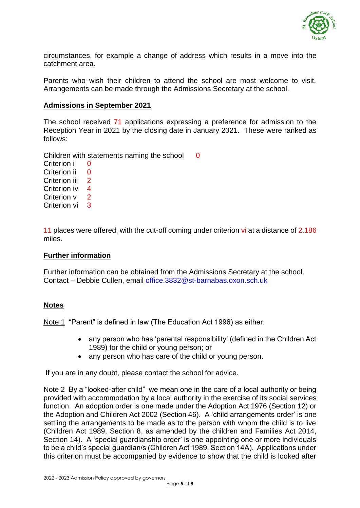

circumstances, for example a change of address which results in a move into the catchment area.

Parents who wish their children to attend the school are most welcome to visit. Arrangements can be made through the Admissions Secretary at the school.

### **Admissions in September 2021**

The school received 71 applications expressing a preference for admission to the Reception Year in 2021 by the closing date in January 2021. These were ranked as follows:

Children with statements naming the school  $\qquad 0$ 

Criterion i 0 Criterion ii 0 Criterion iii 2 Criterion iv 4 Criterion v 2 Criterion vi 3

11 places were offered, with the cut-off coming under criterion vi at a distance of 2.186 miles.

### **Further information**

Further information can be obtained from the Admissions Secretary at the school. Contact – Debbie Cullen, email [office.3832@st-barnabas.oxon.sch.uk](mailto:office.3832@st-barnabas.oxon.sch.uk)

### **Notes**

Note 1 "Parent" is defined in law (The Education Act 1996) as either:

- any person who has 'parental responsibility' (defined in the Children Act 1989) for the child or young person; or
- any person who has care of the child or young person.

If you are in any doubt, please contact the school for advice.

Note 2 By a "looked-after child" we mean one in the care of a local authority or being provided with accommodation by a local authority in the exercise of its social services function. An adoption order is one made under the Adoption Act 1976 (Section 12) or the Adoption and Children Act 2002 (Section 46). A 'child arrangements order' is one settling the arrangements to be made as to the person with whom the child is to live (Children Act 1989, Section 8, as amended by the children and Families Act 2014, Section 14). A 'special guardianship order' is one appointing one or more individuals to be a child's special guardian/s (Children Act 1989, Section 14A). Applications under this criterion must be accompanied by evidence to show that the child is looked after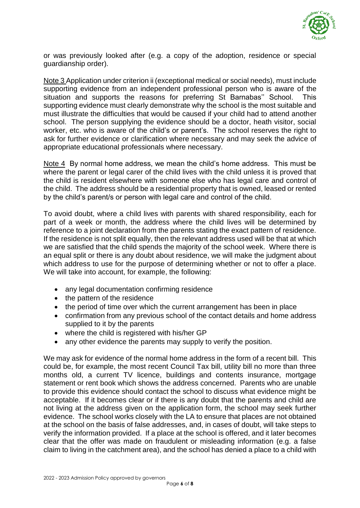

or was previously looked after (e.g. a copy of the adoption, residence or special guardianship order).

Note 3 Application under criterion ii (exceptional medical or social needs), must include supporting evidence from an independent professional person who is aware of the situation and supports the reasons for preferring St Barnabas'' School. This supporting evidence must clearly demonstrate why the school is the most suitable and must illustrate the difficulties that would be caused if your child had to attend another school. The person supplying the evidence should be a doctor, heath visitor, social worker, etc. who is aware of the child's or parent's. The school reserves the right to ask for further evidence or clarification where necessary and may seek the advice of appropriate educational professionals where necessary.

Note 4 By normal home address, we mean the child's home address. This must be where the parent or legal carer of the child lives with the child unless it is proved that the child is resident elsewhere with someone else who has legal care and control of the child. The address should be a residential property that is owned, leased or rented by the child's parent/s or person with legal care and control of the child.

To avoid doubt, where a child lives with parents with shared responsibility, each for part of a week or month, the address where the child lives will be determined by reference to a joint declaration from the parents stating the exact pattern of residence. If the residence is not split equally, then the relevant address used will be that at which we are satisfied that the child spends the majority of the school week. Where there is an equal split or there is any doubt about residence, we will make the judgment about which address to use for the purpose of determining whether or not to offer a place. We will take into account, for example, the following:

- any legal documentation confirming residence
- the pattern of the residence
- the period of time over which the current arrangement has been in place
- confirmation from any previous school of the contact details and home address supplied to it by the parents
- where the child is registered with his/her GP
- any other evidence the parents may supply to verify the position.

We may ask for evidence of the normal home address in the form of a recent bill. This could be, for example, the most recent Council Tax bill, utility bill no more than three months old, a current TV licence, buildings and contents insurance, mortgage statement or rent book which shows the address concerned. Parents who are unable to provide this evidence should contact the school to discuss what evidence might be acceptable. If it becomes clear or if there is any doubt that the parents and child are not living at the address given on the application form, the school may seek further evidence. The school works closely with the LA to ensure that places are not obtained at the school on the basis of false addresses, and, in cases of doubt, will take steps to verify the information provided. If a place at the school is offered, and it later becomes clear that the offer was made on fraudulent or misleading information (e.g. a false claim to living in the catchment area), and the school has denied a place to a child with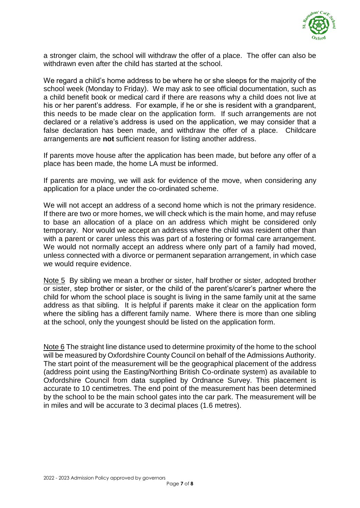

a stronger claim, the school will withdraw the offer of a place. The offer can also be withdrawn even after the child has started at the school.

We regard a child's home address to be where he or she sleeps for the majority of the school week (Monday to Friday). We may ask to see official documentation, such as a child benefit book or medical card if there are reasons why a child does not live at his or her parent's address. For example, if he or she is resident with a grandparent, this needs to be made clear on the application form. If such arrangements are not declared or a relative's address is used on the application, we may consider that a false declaration has been made, and withdraw the offer of a place. Childcare arrangements are **not** sufficient reason for listing another address.

If parents move house after the application has been made, but before any offer of a place has been made, the home LA must be informed.

If parents are moving, we will ask for evidence of the move, when considering any application for a place under the co-ordinated scheme.

We will not accept an address of a second home which is not the primary residence. If there are two or more homes, we will check which is the main home, and may refuse to base an allocation of a place on an address which might be considered only temporary. Nor would we accept an address where the child was resident other than with a parent or carer unless this was part of a fostering or formal care arrangement. We would not normally accept an address where only part of a family had moved, unless connected with a divorce or permanent separation arrangement, in which case we would require evidence.

Note 5 By sibling we mean a brother or sister, half brother or sister, adopted brother or sister, step brother or sister, or the child of the parent's/carer's partner where the child for whom the school place is sought is living in the same family unit at the same address as that sibling. It is helpful if parents make it clear on the application form where the sibling has a different family name. Where there is more than one sibling at the school, only the youngest should be listed on the application form.

Note 6 The straight line distance used to determine proximity of the home to the school will be measured by Oxfordshire County Council on behalf of the Admissions Authority. The start point of the measurement will be the geographical placement of the address (address point using the Easting/Northing British Co-ordinate system) as available to Oxfordshire Council from data supplied by Ordnance Survey. This placement is accurate to 10 centimetres. The end point of the measurement has been determined by the school to be the main school gates into the car park. The measurement will be in miles and will be accurate to 3 decimal places (1.6 metres).